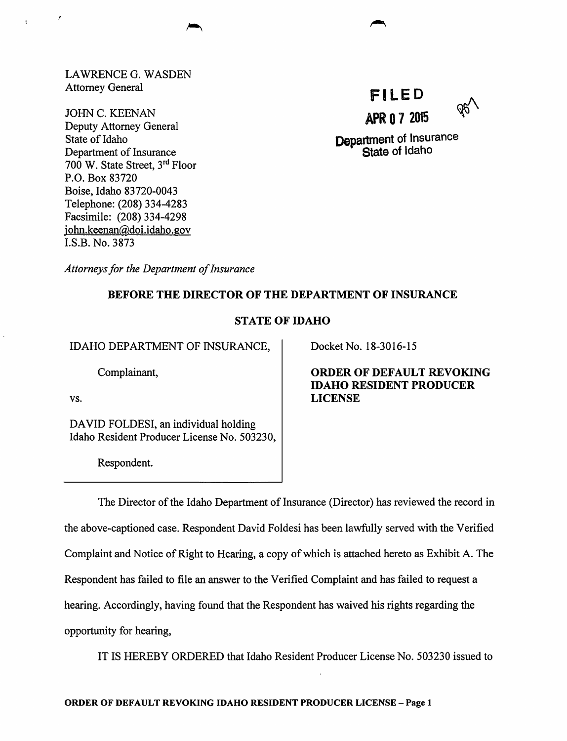LAWRENCE G. WASDEN Attorney General

JOHN C. KEENAN Deputy Attorney General State of Idaho Department of Insurance 700 W. State Street, 3rd Floor P.O. Box 83720 Boise, Idaho 83720-0043 Telephone: (208) 334-4283 Facsimile: (208) 334-4298 john.keenan@doi.idaho.gov l.S.B. No. 3873



Department of Insurance State of Idaho

*Attorneys for the Department of Insurance* 

## BEFORE THE DIRECTOR OF THE DEPARTMENT OF INSURANCE

## STATE OF IDAHO

IDAHO DEPARTMENT OF INSURANCE,

Complainant,

vs.

DAVID FOLDESI, an individual holding Idaho Resident Producer License No. 503230,

Respondent.

Docket No. 18-3016-15

ORDER OF DEFAULT REVOKING IDAHO RESIDENT PRODUCER LICENSE

The Director of the Idaho Department of Insurance (Director) has reviewed the record in the above-captioned case. Respondent David Foldesi has been lawfully served with the Verified Complaint and Notice of Right to Hearing, a copy of which is attached hereto as Exhibit A. The Respondent has failed to file an answer to the Verified Complaint and has failed to request a hearing. Accordingly, having found that the Respondent has waived his rights regarding the opportunity for hearing,

IT IS HEREBY ORDERED that Idaho Resident Producer License No. 503230 issued to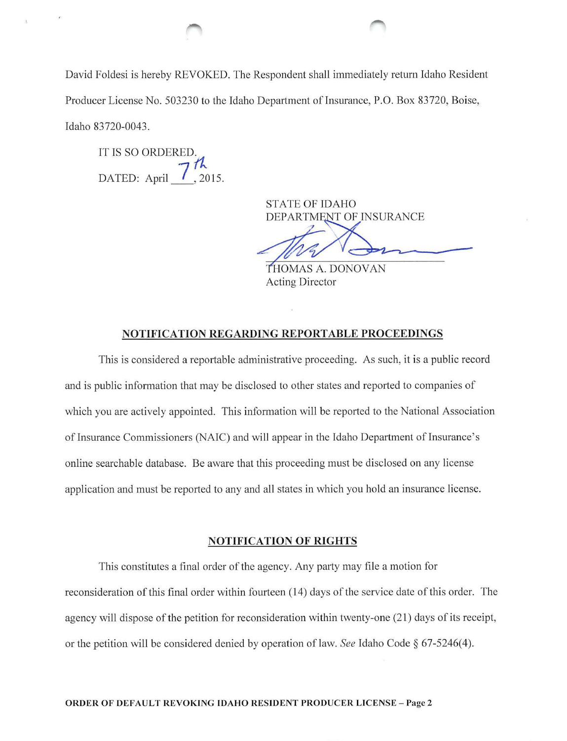David Foldesi is hereby REVOKED. The Respondent shall immediately return Idaho Resident Producer License No. 503230 to the Idaho Department of Insurance, P.O. Box 83720, Boise, Idaho 83720-0043.

IT IS SO ORDERED. DATED: April  $7<sup>h</sup>$ , 2015.

> STATE OF IDAHO DEPARTMENT OF INSURANCE

STATE OF IDAHO<br>DEPARTMENT OF INSURANCE

Acting Director

## NOTIFICATION REGARDING REPORTABLE PROCEEDINGS

This is considered a reportable administrative proceeding. As such, it is a public record and is public information that may be disclosed to other states and reported to companies of which you are actively appointed. This information will be reported to the National Association of Insurance Commissioners (NAIC) and will appear in the Idaho Department of Insurance's online searchable database. Be aware that this proceeding must be disclosed on any license application and must be reported to any and all states in which you hold an insurance license.

### NOTIFICATION OF RIGHTS

This constitutes a final order of the agency. Any party may file a motion for reconsideration of this final order within fourteen (14) days of the service date of this order. The agency will dispose of the petition for reconsideration within twenty-one (21) days of its receipt, or the petition will be considered denied by operation of law. *See* Idaho Code § 67-5246( 4).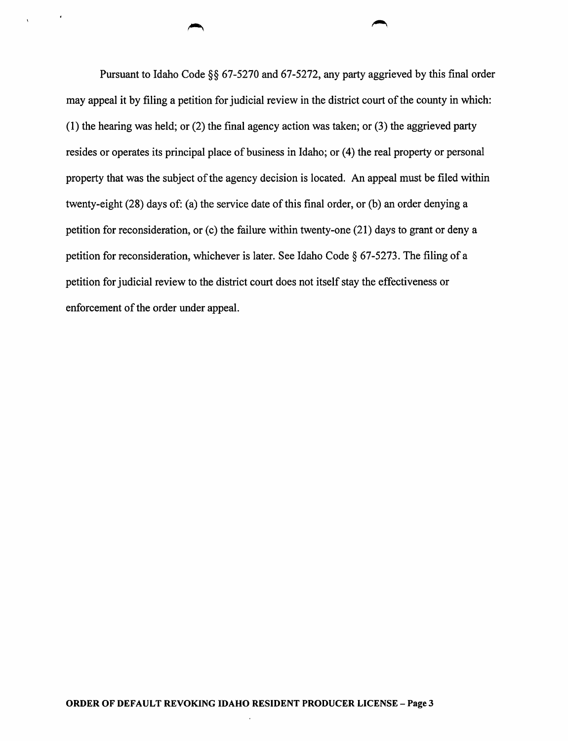Pursuant to Idaho Code §§ 67-5270 and 67-5272, any party aggrieved by this final order may appeal it by filing a petition for judicial review in the district court of the county in which: (1) the hearing was held; or (2) the final agency action was taken; or (3) the aggrieved party resides or operates its principal place of business in Idaho; or (4) the real property or personal property that was the subject of the agency decision is located. An appeal must be filed within twenty-eight (28) days of: (a) the service date of this final order, or (b) an order denying a petition for reconsideration, or  $(c)$  the failure within twenty-one  $(21)$  days to grant or deny a petition for reconsideration, whichever is later. See Idaho Code § 67-5273. The filing of a petition for judicial review to the district court does not itself stay the effectiveness or enforcement of the order under appeal.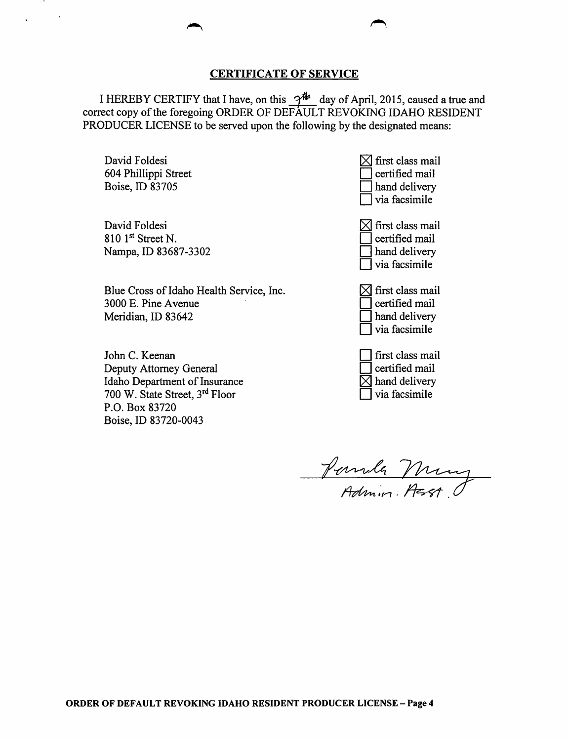### CERTIFICATE OF SERVICE

I HEREBY CERTIFY that I have, on this  $-2^{th}$  day of April, 2015, caused a true and correct copy of the foregoing ORDER OF DEFAULT REVOKING IDAHO RESIDENT PRODUCER LICENSE to be served upon the following by the designated means:

David Foldesi 604 Phillippi Street Boise, ID 83705

 $\epsilon$ 

David Foldesi  $810$  1st Street N. Nampa, ID 83687-3302

Blue Cross of Idaho Health Service, Inc. 3000 E. Pine A venue Meridian, ID 83642

John C. Keenan Deputy Attorney General Idaho Department of Insurance 700 W. State Street, 3rd Floor P.O. Box 83720 Boise, ID 83720-0043

 $\boxtimes$  first class mail certified mail hand delivery via facsimile

 $\boxtimes$  first class mail certified mail I hand delivery D via facsimile

 $\boxtimes$  first class mail D certified mail I hand delivery D via facsimile

D first class mail D certified mail  $\boxtimes$  hand delivery

via facsimile

Pernula Mung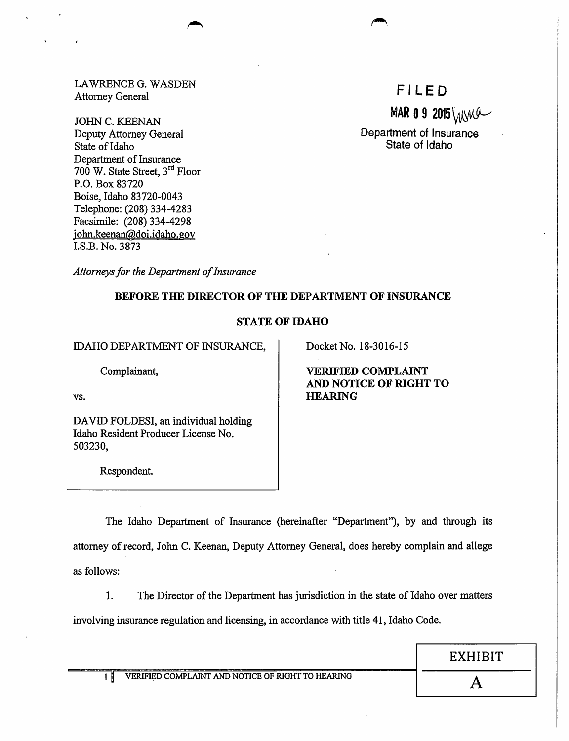LAWRENCE G. WASDEN Attorney General

JOHN C. KEENAN Deputy Attorney General State of Idaho Department of Insurance 700 W. State Street, 3rd Floor P.O. Box 83720 Boise, Idaho 83720-0043 Telephone: (208) 334-4283 Facsimile: (208) 334-4298 john.keenan@doi.idaho.gov I.S.B. No. 3873

FILED

MAR 0 9 2015 WWW

Department of Insurance State of Idaho

*Attorneys for the Department of Insurance* 

## BEFORE THE DIRECTOR OF THE DEPARTMENT OF INSURANCE

## STATE OF IDAHO

IDAHO DEPARTMENT OF INSURANCE,

Complainant,

vs.

DAVID FOLDESI, an individual holding Idaho Resident Producer License No. 503230,

Respondent.

Docket No. 18-3016-15

VERIFIED COMPLAINT AND NOTICE OF RIGHT TO HEARING

The Idaho Department of Insurance (hereinafter "Depatiment"), by and through its attorney of record, John C. Keenan, Deputy Attorney General, does hereby complain and allege as follows:

1. The Director of the Department has jurisdiction in the state of Idaho over matters

involving insurance regulation and licensing, in accordance with title 41, Idaho Code.

EXHIBIT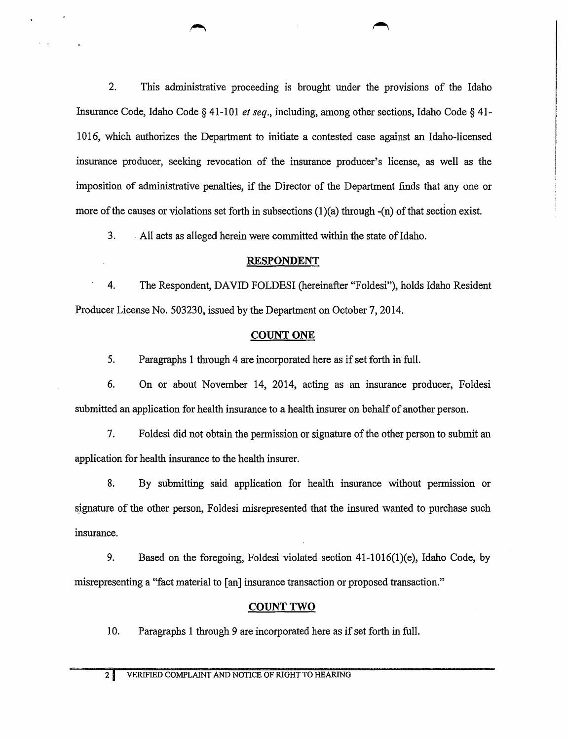2. This administrative proceeding is brought under the provisions of the Idaho Insurance Code, Idaho Code§ 41-101 *et seq.,* including, among other sections, Idaho Code§ 41- 1016, which authorizes the Department to initiate a contested case against an Idaho-licensed insurance producer, seeking revocation of the insurance producer's license, as well as the imposition of administrative penalties, if the Director of the Department finds that any one or more of the causes or violations set forth in subsections  $(1)(a)$  through  $-(n)$  of that section exist.

3. . All acts as alleged herein were committed within the state of Idaho.

## RESPONDENT

4. The Respondent, DAVID FOLDESI (hereinafter "Foldesi"), holds Idaho Resident Producer License No. 503230, issued by the Department on October 7, 2014.

## COUNT ONE

5. Paragraphs 1 through 4 are incorporated here as if set forth in full.

6. On or about November 14, 2014, acting as an insurance producer, Foldesi submitted an application for health insurance to a health insurer on behalf of another person.

7. Foldesi did not obtain the permission or signature of the other person to submit an application for health insurance to the health insurer.

8. By submitting said application for health insurance without permission or signature of the other person, Foldesi misrepresented that the insured wanted to purchase such insurance.

9. Based on the foregoing, Foldesi violated section 41-1016(1)(e), Idaho Code, by misrepresenting a "fact matetial to [an] insurance transaction or proposed transaction."

## COUNT TWO

10. Paragraphs 1 through 9 are incorporated here as if set forth in full.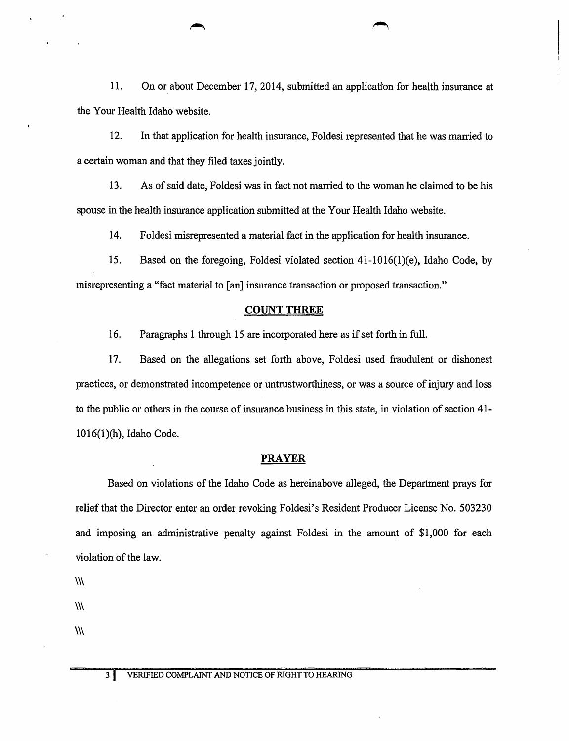11. On or about December 17, 2014, submitted an application for health insurance at the Your Health Idaho website.

12. In that application for health insurance, Foldesi represented that he was married to a certain woman and that they filed taxes jointly.

13. As of said date, Foldesi was in fact not married to the woman he claimed to be his spouse in the health insurance application submitted at the Your Health Idaho website.

14. Foldcsi misrepresented a material fact in the application for health insurance.

15. Based on the foregoing, Foldesi violated section 41-1016(1)(e), Idaho Code, by misrepresenting a "fact material to [an] insurance transaction or proposed transaction."

#### **COUNT THREE**

16. Paragraphs 1 through 15 are incorporated here as if set forth in full.

17. Based on the allegations set forth above, Foldesi used fraudulent or dishonest practices, or demonstrated incompetence or untrustworthiness, or was a source of injury and loss to the public or others in the course of insurance business in this state, in violation of section 41- 1016(1 )(h), Idaho Code.

### **PRAYER**

Based on violations of the Idaho Code as hereinabove alleged, the Department prays for relief that the Director enter an order revoking Foldesi's Resident Producer License No. 503230 and imposing an administrative penalty against Foldesi in the amount of \$1,000 for each violation of the law.

 $\mathcal{W}$ 

 $\mathcal{W}$ 

 $\mathcal{W}$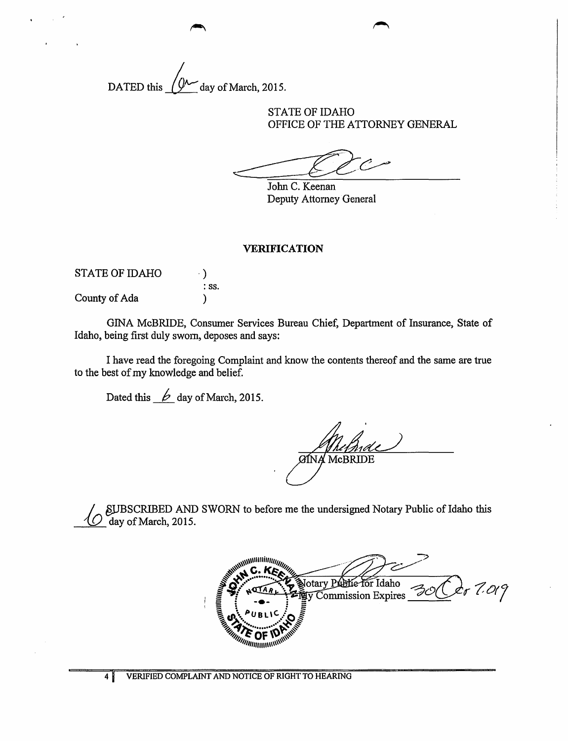DATED this  $\sqrt{\mathcal{W}}$  day of March, 2015.

STATE OF IDAHO OFFICE OF THE ATTORNEY GENERAL

John C. Keenan Deputy Attorney General

#### VERIFICATION

| <b>STATE OF IDAHO</b> |                  |
|-----------------------|------------------|
|                       | $\therefore$ SS. |
| County of Ada         |                  |

GINA McBRIDE, Consumer Services Bureau Chief, Department of Insurance, State of Idaho, being first duly swom, deposes and says:

I have read the foregoing Complaint and know the contents thereof and the same are true to the best of my knowledge and belief.

Dated this  $\cancel{\phi}$  day of March, 2015.

**GINA MCBRIDE** 

/ \_ §j.JBSCRIBED AND SWORN to before me the undersigned Notary Public of Idaho this *---'W=-* day of March, 2015.

Notary Public for Idaho  $7.019$ ty Commission Expires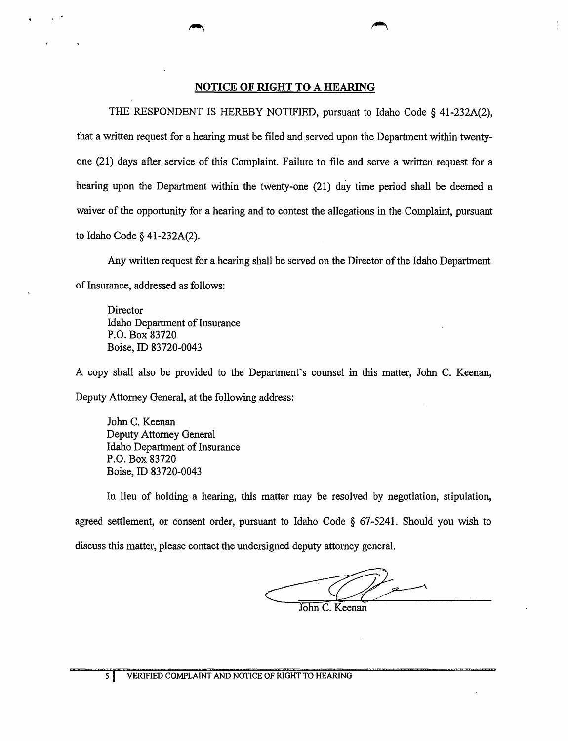### NOTICE OF RIGHT TO A HEARING

THE RESPONDENT IS HEREBY NOTIFIED, pursuant to Idaho Code § 41-232A(2), that a written request for a hearing must be filed and served upon the Department within twentyone (21) days after service of this Complaint. Failure to file and serve a written request for a hearing upon the Department within the twenty-one (21) day time period shall be deemed a waiver of the opportunity for a hearing and to contest the allegations in the Complaint, pursuant to Idaho Code§ 41-232A(2).

Any written request for a hearing shall be served on the Director of the Idaho Department of Insurance, addressed as follows:

**Director** Idaho Department of Insurance P.O. Box 83720 Boise, ID 83720-0043

A copy shall also be provided to the Department's counsel in this matter, John C. Keenan, Deputy Attorney General, at the following address:

John C. Keenan Deputy Attorney General Idaho Department of Insurance P.O. Box 83720 Boise, ID 83720-0043

In lieu of holding a hearing, this matter may be resolved by negotiation, stipulation, agreed settlement, or consent order, pursuant to Idaho Code  $\S$  67-5241. Should you wish to discuss this matter, please contact the undersigned deputy attorney general.

John C. Keenan